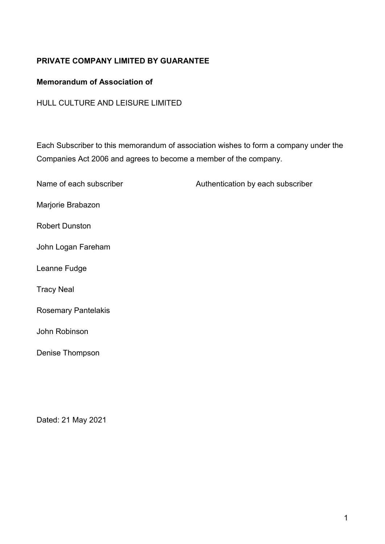# **PRIVATE COMPANY LIMITED BY GUARANTEE**

# **Memorandum of Association of**

HULL CULTURE AND LEISURE LIMITED

Each Subscriber to this memorandum of association wishes to form a company under the Companies Act 2006 and agrees to become a member of the company.

| Name of each subscriber    | Authentication by each subscriber |
|----------------------------|-----------------------------------|
| Marjorie Brabazon          |                                   |
| <b>Robert Dunston</b>      |                                   |
| John Logan Fareham         |                                   |
| Leanne Fudge               |                                   |
| <b>Tracy Neal</b>          |                                   |
| <b>Rosemary Pantelakis</b> |                                   |
| John Robinson              |                                   |
| Denise Thompson            |                                   |

Dated: 21 May 2021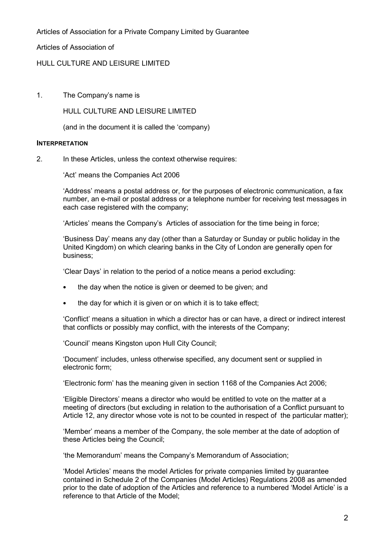Articles of Association for a Private Company Limited by Guarantee

Articles of Association of

# HULL CULTURE AND LEISURE LIMITED

1. The Company's name is

HULL CULTURE AND LEISURE LIMITED

(and in the document it is called the 'company)

#### **INTERPRETATION**

2. In these Articles, unless the context otherwise requires:

'Act' means the Companies Act 2006

 'Address' means a postal address or, for the purposes of electronic communication, a fax number, an e-mail or postal address or a telephone number for receiving test messages in each case registered with the company;

'Articles' means the Company's Articles of association for the time being in force;

 'Business Day' means any day (other than a Saturday or Sunday or public holiday in the United Kingdom) on which clearing banks in the City of London are generally open for business;

'Clear Days' in relation to the period of a notice means a period excluding:

- the day when the notice is given or deemed to be given; and
- the day for which it is given or on which it is to take effect;

 'Conflict' means a situation in which a director has or can have, a direct or indirect interest that conflicts or possibly may conflict, with the interests of the Company;

'Council' means Kingston upon Hull City Council;

'Document' includes, unless otherwise specified, any document sent or supplied in electronic form;

'Electronic form' has the meaning given in section 1168 of the Companies Act 2006;

 'Eligible Directors' means a director who would be entitled to vote on the matter at a meeting of directors (but excluding in relation to the authorisation of a Conflict pursuant to Article 12, any director whose vote is not to be counted in respect of the particular matter);

 'Member' means a member of the Company, the sole member at the date of adoption of these Articles being the Council;

'the Memorandum' means the Company's Memorandum of Association;

 'Model Articles' means the model Articles for private companies limited by guarantee contained in Schedule 2 of the Companies (Model Articles) Regulations 2008 as amended prior to the date of adoption of the Articles and reference to a numbered 'Model Article' is a reference to that Article of the Model;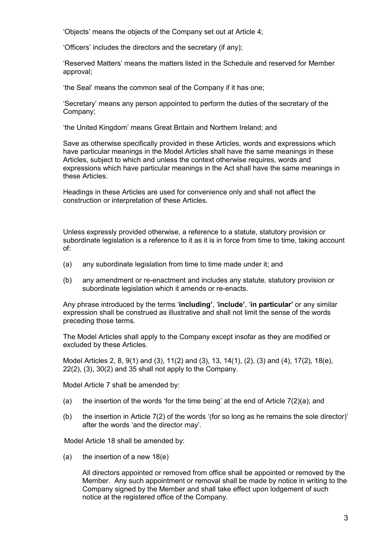'Objects' means the objects of the Company set out at Article 4;

'Officers' includes the directors and the secretary (if any);

 'Reserved Matters' means the matters listed in the Schedule and reserved for Member approval;

'the Seal' means the common seal of the Company if it has one;

 'Secretary' means any person appointed to perform the duties of the secretary of the Company;

'the United Kingdom' means Great Britain and Northern Ireland; and

 Save as otherwise specifically provided in these Articles, words and expressions which have particular meanings in the Model Articles shall have the same meanings in these Articles, subject to which and unless the context otherwise requires, words and expressions which have particular meanings in the Act shall have the same meanings in these Articles.

 Headings in these Articles are used for convenience only and shall not affect the construction or interpretation of these Articles.

 Unless expressly provided otherwise, a reference to a statute, statutory provision or subordinate legislation is a reference to it as it is in force from time to time, taking account of:

- (a) any subordinate legislation from time to time made under it; and
- (b) any amendment or re-enactment and includes any statute, statutory provision or subordinate legislation which it amends or re-enacts.

Any phrase introduced by the terms '**including'**, '**include'**, '**in particular'** or any similar expression shall be construed as illustrative and shall not limit the sense of the words preceding those terms.

 The Model Articles shall apply to the Company except insofar as they are modified or excluded by these Articles.

 Model Articles 2, 8, 9(1) and (3), 11(2) and (3), 13, 14(1), (2), (3) and (4), 17(2), 18(e), 22(2), (3), 30(2) and 35 shall not apply to the Company.

Model Article 7 shall be amended by:

- (a) the insertion of the words 'for the time being' at the end of Article  $7(2)(a)$ ; and
- (b) the insertion in Article 7(2) of the words '(for so long as he remains the sole director)' after the words 'and the director may'.

Model Article 18 shall be amended by:

(a) the insertion of a new 18(e)

 All directors appointed or removed from office shall be appointed or removed by the Member. Any such appointment or removal shall be made by notice in writing to the Company signed by the Member and shall take effect upon lodgement of such notice at the registered office of the Company.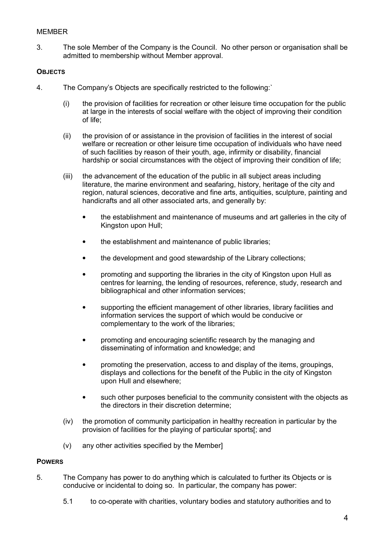# **MEMBER**

3. The sole Member of the Company is the Council. No other person or organisation shall be admitted to membership without Member approval.

# **OBJECTS**

- 4. The Company's Objects are specifically restricted to the following:`
	- (i) the provision of facilities for recreation or other leisure time occupation for the public at large in the interests of social welfare with the object of improving their condition of life;
	- (ii) the provision of or assistance in the provision of facilities in the interest of social welfare or recreation or other leisure time occupation of individuals who have need of such facilities by reason of their youth, age, infirmity or disability, financial hardship or social circumstances with the object of improving their condition of life;
	- (iii) the advancement of the education of the public in all subject areas including literature, the marine environment and seafaring, history, heritage of the city and region, natural sciences, decorative and fine arts, antiquities, sculpture, painting and handicrafts and all other associated arts, and generally by:
		- the establishment and maintenance of museums and art galleries in the city of Kingston upon Hull;
		- the establishment and maintenance of public libraries;
		- the development and good stewardship of the Library collections;
		- promoting and supporting the libraries in the city of Kingston upon Hull as centres for learning, the lending of resources, reference, study, research and bibliographical and other information services;
		- supporting the efficient management of other libraries, library facilities and information services the support of which would be conducive or complementary to the work of the libraries;
		- promoting and encouraging scientific research by the managing and disseminating of information and knowledge; and
		- promoting the preservation, access to and display of the items, groupings, displays and collections for the benefit of the Public in the city of Kingston upon Hull and elsewhere;
		- such other purposes beneficial to the community consistent with the objects as the directors in their discretion determine;
	- (iv) the promotion of community participation in healthy recreation in particular by the provision of facilities for the playing of particular sports[; and
	- (v) any other activities specified by the Member]

# **POWERS**

- 5. The Company has power to do anything which is calculated to further its Objects or is conducive or incidental to doing so. In particular, the company has power:
	- 5.1 to co-operate with charities, voluntary bodies and statutory authorities and to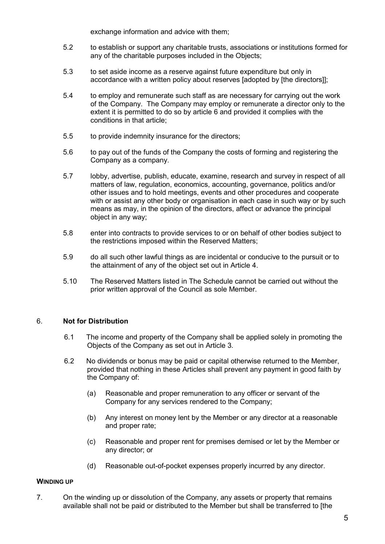exchange information and advice with them;

- 5.2 to establish or support any charitable trusts, associations or institutions formed for any of the charitable purposes included in the Objects;
- 5.3 to set aside income as a reserve against future expenditure but only in accordance with a written policy about reserves [adopted by [the directors]];
- 5.4 to employ and remunerate such staff as are necessary for carrying out the work of the Company. The Company may employ or remunerate a director only to the extent it is permitted to do so by article 6 and provided it complies with the conditions in that article;
- 5.5 to provide indemnity insurance for the directors;
- 5.6 to pay out of the funds of the Company the costs of forming and registering the Company as a company.
- 5.7 lobby, advertise, publish, educate, examine, research and survey in respect of all matters of law, regulation, economics, accounting, governance, politics and/or other issues and to hold meetings, events and other procedures and cooperate with or assist any other body or organisation in each case in such way or by such means as may, in the opinion of the directors, affect or advance the principal object in any way;
- 5.8 enter into contracts to provide services to or on behalf of other bodies subject to the restrictions imposed within the Reserved Matters;
- 5.9 do all such other lawful things as are incidental or conducive to the pursuit or to the attainment of any of the object set out in Article 4.
- 5.10 The Reserved Matters listed in The Schedule cannot be carried out without the prior written approval of the Council as sole Member.

# 6. **Not for Distribution**

- 6.1 The income and property of the Company shall be applied solely in promoting the Objects of the Company as set out in Article 3.
- 6.2 No dividends or bonus may be paid or capital otherwise returned to the Member, provided that nothing in these Articles shall prevent any payment in good faith by the Company of:
	- (a) Reasonable and proper remuneration to any officer or servant of the Company for any services rendered to the Company;
	- (b) Any interest on money lent by the Member or any director at a reasonable and proper rate;
	- (c) Reasonable and proper rent for premises demised or let by the Member or any director; or
	- (d) Reasonable out-of-pocket expenses properly incurred by any director.

# **WINDING UP**

7. On the winding up or dissolution of the Company, any assets or property that remains available shall not be paid or distributed to the Member but shall be transferred to [the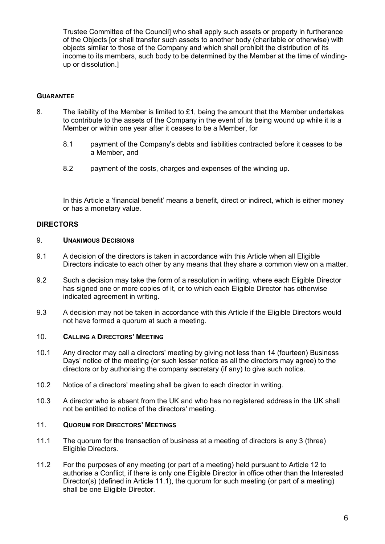Trustee Committee of the Council] who shall apply such assets or property in furtherance of the Objects [or shall transfer such assets to another body (charitable or otherwise) with objects similar to those of the Company and which shall prohibit the distribution of its income to its members, such body to be determined by the Member at the time of windingup or dissolution.]

# **GUARANTEE**

- 8. The liability of the Member is limited to £1, being the amount that the Member undertakes to contribute to the assets of the Company in the event of its being wound up while it is a Member or within one year after it ceases to be a Member, for
	- 8.1 payment of the Company's debts and liabilities contracted before it ceases to be a Member, and
	- 8.2 payment of the costs, charges and expenses of the winding up.

 In this Article a 'financial benefit' means a benefit, direct or indirect, which is either money or has a monetary value.

# **DIRECTORS**

# 9. **UNANIMOUS DECISIONS**

- 9.1 A decision of the directors is taken in accordance with this Article when all Eligible Directors indicate to each other by any means that they share a common view on a matter.
- 9.2 Such a decision may take the form of a resolution in writing, where each Eligible Director has signed one or more copies of it, or to which each Eligible Director has otherwise indicated agreement in writing.
- 9.3 A decision may not be taken in accordance with this Article if the Eligible Directors would not have formed a quorum at such a meeting.

# 10. **CALLING A DIRECTORS' MEETING**

- 10.1 Any director may call a directors' meeting by giving not less than 14 (fourteen) Business Days' notice of the meeting (or such lesser notice as all the directors may agree) to the directors or by authorising the company secretary (if any) to give such notice.
- 10.2 Notice of a directors' meeting shall be given to each director in writing.
- 10.3 A director who is absent from the UK and who has no registered address in the UK shall not be entitled to notice of the directors' meeting.

# 11. **QUORUM FOR DIRECTORS' MEETINGS**

- 11.1 The quorum for the transaction of business at a meeting of directors is any 3 (three) Eligible Directors.
- 11.2 For the purposes of any meeting (or part of a meeting) held pursuant to Article 12 to authorise a Conflict, if there is only one Eligible Director in office other than the Interested Director(s) (defined in Article 11.1), the quorum for such meeting (or part of a meeting) shall be one Eligible Director.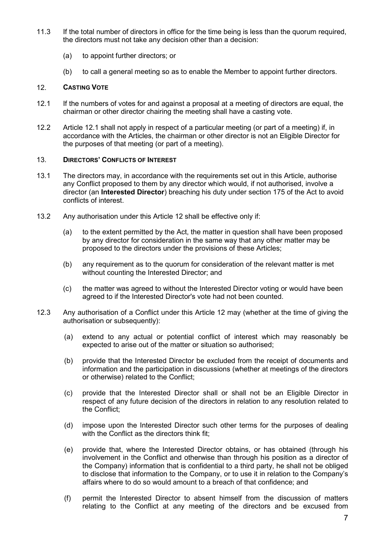- 11.3 If the total number of directors in office for the time being is less than the quorum required, the directors must not take any decision other than a decision:
	- (a) to appoint further directors; or
	- (b) to call a general meeting so as to enable the Member to appoint further directors.

## 12. **CASTING VOTE**

- 12.1 If the numbers of votes for and against a proposal at a meeting of directors are equal, the chairman or other director chairing the meeting shall have a casting vote.
- 12.2 Article 12.1 shall not apply in respect of a particular meeting (or part of a meeting) if, in accordance with the Articles, the chairman or other director is not an Eligible Director for the purposes of that meeting (or part of a meeting).

## 13. **DIRECTORS' CONFLICTS OF INTEREST**

- 13.1 The directors may, in accordance with the requirements set out in this Article, authorise any Conflict proposed to them by any director which would, if not authorised, involve a director (an **Interested Director**) breaching his duty under section 175 of the Act to avoid conflicts of interest.
- 13.2 Any authorisation under this Article 12 shall be effective only if:
	- (a) to the extent permitted by the Act, the matter in question shall have been proposed by any director for consideration in the same way that any other matter may be proposed to the directors under the provisions of these Articles;
	- (b) any requirement as to the quorum for consideration of the relevant matter is met without counting the Interested Director; and
	- (c) the matter was agreed to without the Interested Director voting or would have been agreed to if the Interested Director's vote had not been counted.
- 12.3 Any authorisation of a Conflict under this Article 12 may (whether at the time of giving the authorisation or subsequently):
	- (a) extend to any actual or potential conflict of interest which may reasonably be expected to arise out of the matter or situation so authorised;
	- (b) provide that the Interested Director be excluded from the receipt of documents and information and the participation in discussions (whether at meetings of the directors or otherwise) related to the Conflict;
	- (c) provide that the Interested Director shall or shall not be an Eligible Director in respect of any future decision of the directors in relation to any resolution related to the Conflict;
	- (d) impose upon the Interested Director such other terms for the purposes of dealing with the Conflict as the directors think fit;
	- (e) provide that, where the Interested Director obtains, or has obtained (through his involvement in the Conflict and otherwise than through his position as a director of the Company) information that is confidential to a third party, he shall not be obliged to disclose that information to the Company, or to use it in relation to the Company's affairs where to do so would amount to a breach of that confidence; and
	- (f) permit the Interested Director to absent himself from the discussion of matters relating to the Conflict at any meeting of the directors and be excused from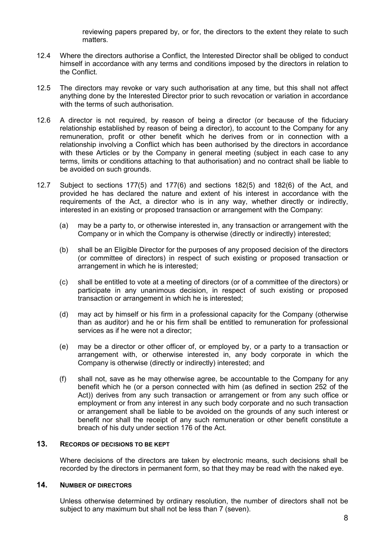reviewing papers prepared by, or for, the directors to the extent they relate to such matters.

- 12.4 Where the directors authorise a Conflict, the Interested Director shall be obliged to conduct himself in accordance with any terms and conditions imposed by the directors in relation to the Conflict.
- 12.5 The directors may revoke or vary such authorisation at any time, but this shall not affect anything done by the Interested Director prior to such revocation or variation in accordance with the terms of such authorisation.
- 12.6 A director is not required, by reason of being a director (or because of the fiduciary relationship established by reason of being a director), to account to the Company for any remuneration, profit or other benefit which he derives from or in connection with a relationship involving a Conflict which has been authorised by the directors in accordance with these Articles or by the Company in general meeting (subject in each case to any terms, limits or conditions attaching to that authorisation) and no contract shall be liable to be avoided on such grounds.
- 12.7 Subject to sections 177(5) and 177(6) and sections 182(5) and 182(6) of the Act, and provided he has declared the nature and extent of his interest in accordance with the requirements of the Act, a director who is in any way, whether directly or indirectly, interested in an existing or proposed transaction or arrangement with the Company:
	- (a) may be a party to, or otherwise interested in, any transaction or arrangement with the Company or in which the Company is otherwise (directly or indirectly) interested;
	- (b) shall be an Eligible Director for the purposes of any proposed decision of the directors (or committee of directors) in respect of such existing or proposed transaction or arrangement in which he is interested;
	- (c) shall be entitled to vote at a meeting of directors (or of a committee of the directors) or participate in any unanimous decision, in respect of such existing or proposed transaction or arrangement in which he is interested;
	- (d) may act by himself or his firm in a professional capacity for the Company (otherwise than as auditor) and he or his firm shall be entitled to remuneration for professional services as if he were not a director;
	- (e) may be a director or other officer of, or employed by, or a party to a transaction or arrangement with, or otherwise interested in, any body corporate in which the Company is otherwise (directly or indirectly) interested; and
	- (f) shall not, save as he may otherwise agree, be accountable to the Company for any benefit which he (or a person connected with him (as defined in section 252 of the Act)) derives from any such transaction or arrangement or from any such office or employment or from any interest in any such body corporate and no such transaction or arrangement shall be liable to be avoided on the grounds of any such interest or benefit nor shall the receipt of any such remuneration or other benefit constitute a breach of his duty under section 176 of the Act.

# **13. RECORDS OF DECISIONS TO BE KEPT**

Where decisions of the directors are taken by electronic means, such decisions shall be recorded by the directors in permanent form, so that they may be read with the naked eye.

# **14. NUMBER OF DIRECTORS**

Unless otherwise determined by ordinary resolution, the number of directors shall not be subject to any maximum but shall not be less than 7 (seven).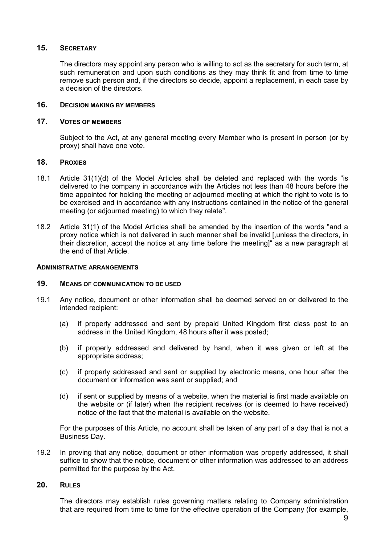## **15. SECRETARY**

The directors may appoint any person who is willing to act as the secretary for such term, at such remuneration and upon such conditions as they may think fit and from time to time remove such person and, if the directors so decide, appoint a replacement, in each case by a decision of the directors.

# **16. DECISION MAKING BY MEMBERS**

#### **17. VOTES OF MEMBERS**

Subject to the Act, at any general meeting every Member who is present in person (or by proxy) shall have one vote.

# **18. PROXIES**

- 18.1 Article 31(1)(d) of the Model Articles shall be deleted and replaced with the words "is delivered to the company in accordance with the Articles not less than 48 hours before the time appointed for holding the meeting or adjourned meeting at which the right to vote is to be exercised and in accordance with any instructions contained in the notice of the general meeting (or adjourned meeting) to which they relate".
- 18.2 Article 31(1) of the Model Articles shall be amended by the insertion of the words "and a proxy notice which is not delivered in such manner shall be invalid [,unless the directors, in their discretion, accept the notice at any time before the meeting]" as a new paragraph at the end of that Article.

#### **ADMINISTRATIVE ARRANGEMENTS**

#### **19. MEANS OF COMMUNICATION TO BE USED**

- 19.1 Any notice, document or other information shall be deemed served on or delivered to the intended recipient:
	- (a) if properly addressed and sent by prepaid United Kingdom first class post to an address in the United Kingdom, 48 hours after it was posted;
	- (b) if properly addressed and delivered by hand, when it was given or left at the appropriate address;
	- (c) if properly addressed and sent or supplied by electronic means, one hour after the document or information was sent or supplied; and
	- (d) if sent or supplied by means of a website, when the material is first made available on the website or (if later) when the recipient receives (or is deemed to have received) notice of the fact that the material is available on the website.

For the purposes of this Article, no account shall be taken of any part of a day that is not a Business Day.

19.2 In proving that any notice, document or other information was properly addressed, it shall suffice to show that the notice, document or other information was addressed to an address permitted for the purpose by the Act.

# **20. RULES**

The directors may establish rules governing matters relating to Company administration that are required from time to time for the effective operation of the Company (for example,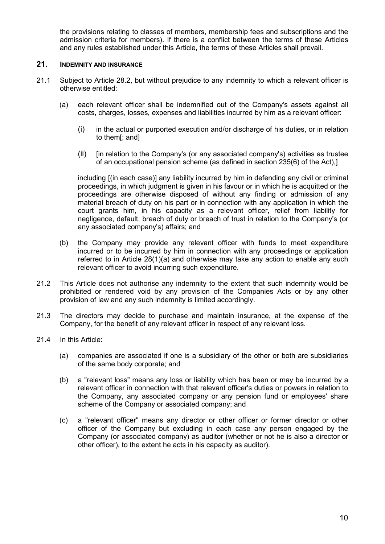the provisions relating to classes of members, membership fees and subscriptions and the admission criteria for members). If there is a conflict between the terms of these Articles and any rules established under this Article, the terms of these Articles shall prevail.

### **21. INDEMNITY AND INSURANCE**

- 21.1 Subject to Article 28.2, but without prejudice to any indemnity to which a relevant officer is otherwise entitled:
	- (a) each relevant officer shall be indemnified out of the Company's assets against all costs, charges, losses, expenses and liabilities incurred by him as a relevant officer:
		- (i) in the actual or purported execution and/or discharge of his duties, or in relation to them[; and]
		- $(i)$  [in relation to the Company's (or any associated company's) activities as trustee of an occupational pension scheme (as defined in section 235(6) of the Act),]

including [(in each case)] any liability incurred by him in defending any civil or criminal proceedings, in which judgment is given in his favour or in which he is acquitted or the proceedings are otherwise disposed of without any finding or admission of any material breach of duty on his part or in connection with any application in which the court grants him, in his capacity as a relevant officer, relief from liability for negligence, default, breach of duty or breach of trust in relation to the Company's (or any associated company's) affairs; and

- (b) the Company may provide any relevant officer with funds to meet expenditure incurred or to be incurred by him in connection with any proceedings or application referred to in Article 28(1)(a) and otherwise may take any action to enable any such relevant officer to avoid incurring such expenditure.
- 21.2 This Article does not authorise any indemnity to the extent that such indemnity would be prohibited or rendered void by any provision of the Companies Acts or by any other provision of law and any such indemnity is limited accordingly.
- 21.3 The directors may decide to purchase and maintain insurance, at the expense of the Company, for the benefit of any relevant officer in respect of any relevant loss.
- 21.4 In this Article:
	- (a) companies are associated if one is a subsidiary of the other or both are subsidiaries of the same body corporate; and
	- (b) a "relevant loss" means any loss or liability which has been or may be incurred by a relevant officer in connection with that relevant officer's duties or powers in relation to the Company, any associated company or any pension fund or employees' share scheme of the Company or associated company; and
	- (c) a "relevant officer" means any director or other officer or former director or other officer of the Company but excluding in each case any person engaged by the Company (or associated company) as auditor (whether or not he is also a director or other officer), to the extent he acts in his capacity as auditor).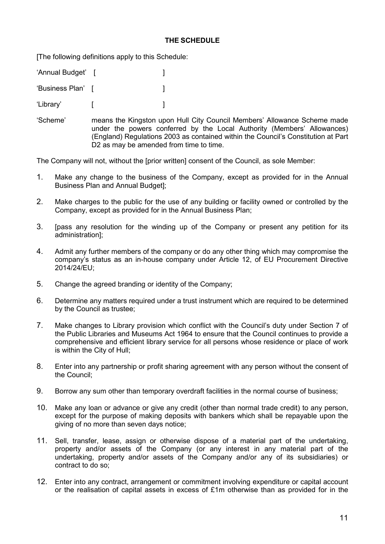# **THE SCHEDULE**

[The following definitions apply to this Schedule:

'Annual Budget' [ ]

'Business Plan' [ ]

'Library' [ ]

'Scheme' means the Kingston upon Hull City Council Members' Allowance Scheme made under the powers conferred by the Local Authority (Members' Allowances) (England) Regulations 2003 as contained within the Council's Constitution at Part D<sub>2</sub> as may be amended from time to time.

The Company will not, without the [prior written] consent of the Council, as sole Member:

- 1. Make any change to the business of the Company, except as provided for in the Annual Business Plan and Annual Budget];
- 2. Make charges to the public for the use of any building or facility owned or controlled by the Company, except as provided for in the Annual Business Plan;
- 3. [pass any resolution for the winding up of the Company or present any petition for its administration];
- 4. Admit any further members of the company or do any other thing which may compromise the company's status as an in-house company under Article 12, of EU Procurement Directive 2014/24/EU;
- 5. Change the agreed branding or identity of the Company;
- 6. Determine any matters required under a trust instrument which are required to be determined by the Council as trustee;
- 7. Make changes to Library provision which conflict with the Council's duty under Section 7 of the Public Libraries and Museums Act 1964 to ensure that the Council continues to provide a comprehensive and efficient library service for all persons whose residence or place of work is within the City of Hull;
- 8. Enter into any partnership or profit sharing agreement with any person without the consent of the Council;
- 9. Borrow any sum other than temporary overdraft facilities in the normal course of business;
- 10. Make any loan or advance or give any credit (other than normal trade credit) to any person, except for the purpose of making deposits with bankers which shall be repayable upon the giving of no more than seven days notice;
- 11. Sell, transfer, lease, assign or otherwise dispose of a material part of the undertaking, property and/or assets of the Company (or any interest in any material part of the undertaking, property and/or assets of the Company and/or any of its subsidiaries) or contract to do so;
- 12. Enter into any contract, arrangement or commitment involving expenditure or capital account or the realisation of capital assets in excess of  $£1m$  otherwise than as provided for in the